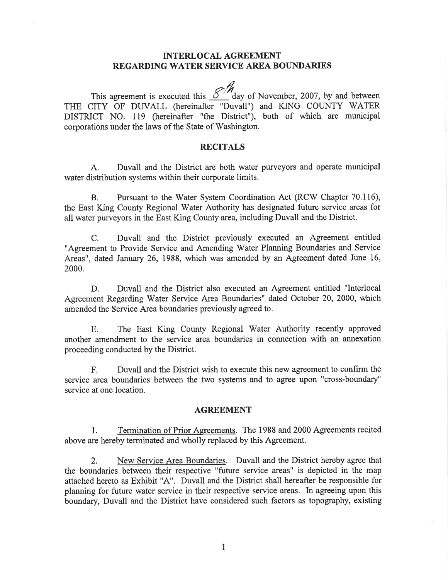## INTERLOCAL AGREEMENT REGARDING WATER SERVICE AREA BOUNDARIES

.4 This agreement is executed this  $\frac{S}{A}$  day of November, 2007, by and between THE CITY OF DUVALL (hereinafter "Duvall") and KING COUNTY WATER DISTRICT NO. 119 (hereinafter "the District"), both of which are municipal corporations under the laws of the State of Washington.

#### **RECITALS**

A. Duvall and the District are both water purveyors and operate municipal water distribution systems within their corporate limits.

B. Pursuant to the Water System Coordination Act (RCW Chapter 70.116), the East King County Regional Water Authority has designated future service areas for all water purveyors in the East King County area, including Duvall and the District.

C. Duvall and the District previously executed an Agreement entitled "Agreement to Provide Service and Amending'Water Planning Boundaries and Service Areas", dated January 26, 1988, which was amended by an Agreement dated June 16, 2000.

D. Duvall and the District also executed an Agreement entitled "Interlocal Agreement Regarding Water Service Area Boundaries" dated October 20,2000, which amended the Service Area boundaries previously agreed to.

E. The East King County Regional Water Authority recently approved another amendment to the service area boundaries in connection with an annexation proceeding conducted by the District.

F. Duvall and the District wish to execute this new agreement to confirm the service area boundaries between the two systems and to agree upon "cross-boundary" service at one location.

#### AGREEMENT

1. Termination of Prior Agreements. The 1988 and 2000 Agreements recited above are hereby terminated and wholly replaced by this Agreement.

2. New Service Area Boundaries. Duvall and the District hereby agree that the boundaries between their respective "future service areas" is depicted in the map attached hereto as Exhibit "4". Duvall and the District shall hereafter be responsible for planning for future water service in their respective service areas. In agreeing upon this boundary, Duvall and the District have considered such factors as topography, existing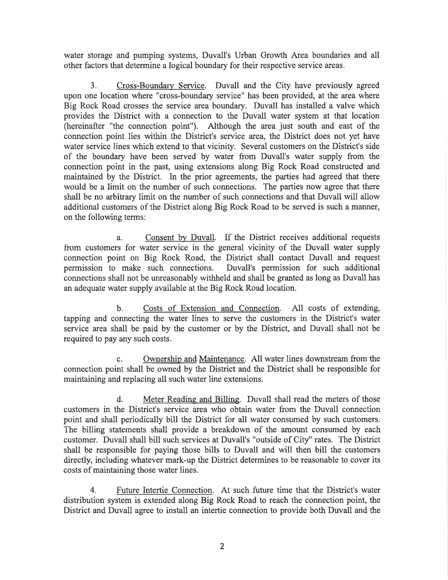water storage and pumping systems, Duvall's Urban Growth Area boundaries and all other factors that determine a logical boundary for their respective service areas.

3. Cross-Boundary Service. Duvall and the City have previously agreed upon one location where "cross-boundary service" has been provided, at the area where Big Rock Road crosses the service area boundary. Duvall has installed a valve which provides the District with a connection to the Duvall water system at that location (hereinafter "the connection point"). Although the area just south and east of the connection point lies within the District's service area, the District does not yet have water service lines which extend to that vicinity. Several customers on the District's side of the boundary have been served by water from Duvall's water supply from the connection point in the past, using extensions along Big Rock Road constructed and maintained by the District. In the prior agreements, the parties had agreed that there would be a limit on the number of such connections. The parties now agree that there shall be no arbitrary limit on the number of such connections and that Duvall will allow additional customers of the District along Big Rock Road to be served is such a manner, on the following terms:

a. Consent by Duvall. If the District receives additional requests from customers for water service in the general vicinity of the Duvall water supply connection point on Big Rock Road, the District shall contact Duvall and request permission to make such connections. Duvall's permission for such additional connections shall not be unreasonably withheld and shall be granted as long as Duvall has an adequate water supply available at the Big Rock Road location.

b. Costs of Extension and Connection. All costs of extending, tapping and connecting the water lines to serve the customers in the District's water service area shall be paid by the customer or by the District, and Duvall shall not be required to pay any such costs.

c. Ownership and Maintenance. All water lines downstream from the connection point shall be owned by the District and the District shall be responsible for maintaining and replacing all such water line extensions.

d. Meter Reading and Billing. Duvall shall read the meters of those customers in the District's service area who obtain water from the Duvall connection point and shall periodically bill the District for all water consumed by such customers. The billing statements shall provide a breakdown of the amount consumed by each customer. Duvall shall bill such services at Duvall's "outside of City" rates. The District shall be responsible for paying those bills to Duvall and will then bill the customers directly, including whatever mark-up the District determines to be reasonable to cover its costs of maintaining those water lines.

4. Future Intertie Connection. At such future time that the District's water distribution system is extended along Big Rock Road to reach the connection point, the District and Duvall agree to install an intertie connection to provide both Duvall and the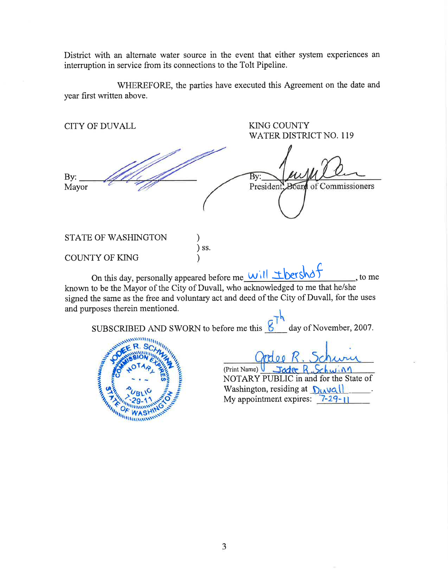District with an alternate water source in the event that either system experiences an interruption in service from its connections to the Tolt Pipeline.

WHEREFORE, the parties have executed this Agreement on the date and year first written above.

CITY OF DUVALL KING COUNTY WATER DISTRICT NO. 119 By: By<br>President of Commissioners Mayor Boar STATE OF WASHINGTON ) ) ss. COUNTY OF KING ) On this day, personally appeared before me  $\frac{Will \pm best}{\triangle}$ to me known to be the Mayor of the City of Duvall, who acknowledged to me that he/she signed the same as the free and voluntary act and deed of the City of Duvall, for the uses and purposes therein mentioned. SUBSCRIBED AND SWORN to before me this  $\frac{8}{10}$  day of November, 2007. (Print Name)  $\sqrt{\frac{1}{2}}$ Jadge R. Schwing NOTARY PUBLIC in and for the State ofWashington, residing at  $\mathbf{D}$ <sub>W</sub>Q(l) My appointment expires:  $7-29-11$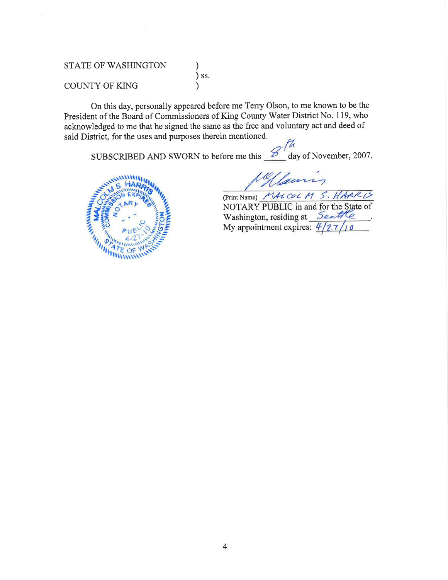# STATE OF WASHINGTON

## COUNTY OF KING

On this day, personally appeared before me Terry Olson, to me known to be the President of the Board of Commissioners of King County Water District No. 1 19, who acknowledged to me that he signed the same as the free and voluntary act and deed of said District, for the uses and purposes therein mentioned.

 $\lambda$ ) ss. )

SUBSCRIBED AND SWORN to before me this  $\frac{\cancel{6}}{\cancel{6}}$  day of November, 2007.

Ellening

NOTARY PUBLIC in and for the State of Washington, residing at Seattle My appointment expires:  $\frac{4}{2}$ (Print Name) MALCOLM S. HARRIS